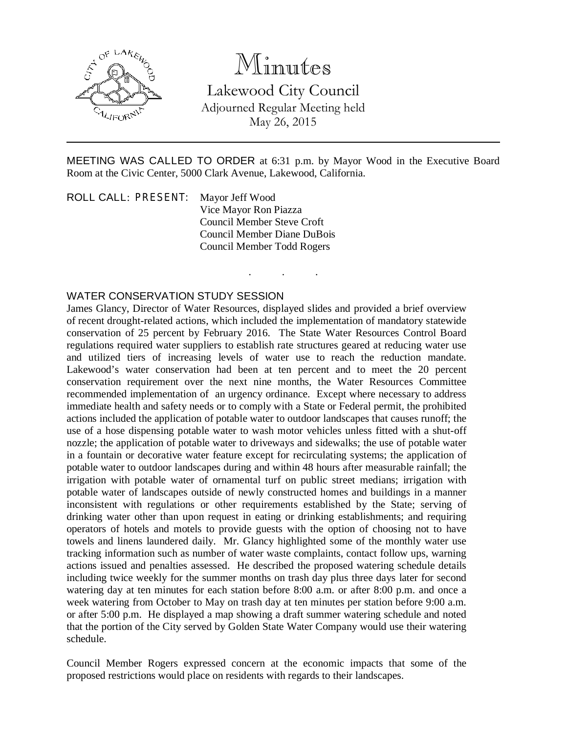

## Minutes

Lakewood City Council Adjourned Regular Meeting held May 26, 2015

MEETING WAS CALLED TO ORDER at 6:31 p.m. by Mayor Wood in the Executive Board Room at the Civic Center, 5000 Clark Avenue, Lakewood, California.

. . .

ROLL CALL: PRESENT: Mayor Jeff Wood Vice Mayor Ron Piazza Council Member Steve Croft Council Member Diane DuBois Council Member Todd Rogers

## WATER CONSERVATION STUDY SESSION

James Glancy, Director of Water Resources, displayed slides and provided a brief overview of recent drought-related actions, which included the implementation of mandatory statewide conservation of 25 percent by February 2016. The State Water Resources Control Board regulations required water suppliers to establish rate structures geared at reducing water use and utilized tiers of increasing levels of water use to reach the reduction mandate. Lakewood's water conservation had been at ten percent and to meet the 20 percent conservation requirement over the next nine months, the Water Resources Committee recommended implementation of an urgency ordinance. Except where necessary to address immediate health and safety needs or to comply with a State or Federal permit, the prohibited actions included the application of potable water to outdoor landscapes that causes runoff; the use of a hose dispensing potable water to wash motor vehicles unless fitted with a shut-off nozzle; the application of potable water to driveways and sidewalks; the use of potable water in a fountain or decorative water feature except for recirculating systems; the application of potable water to outdoor landscapes during and within 48 hours after measurable rainfall; the irrigation with potable water of ornamental turf on public street medians; irrigation with potable water of landscapes outside of newly constructed homes and buildings in a manner inconsistent with regulations or other requirements established by the State; serving of drinking water other than upon request in eating or drinking establishments; and requiring operators of hotels and motels to provide guests with the option of choosing not to have towels and linens laundered daily. Mr. Glancy highlighted some of the monthly water use tracking information such as number of water waste complaints, contact follow ups, warning actions issued and penalties assessed. He described the proposed watering schedule details including twice weekly for the summer months on trash day plus three days later for second watering day at ten minutes for each station before 8:00 a.m. or after 8:00 p.m. and once a week watering from October to May on trash day at ten minutes per station before 9:00 a.m. or after 5:00 p.m. He displayed a map showing a draft summer watering schedule and noted that the portion of the City served by Golden State Water Company would use their watering schedule.

Council Member Rogers expressed concern at the economic impacts that some of the proposed restrictions would place on residents with regards to their landscapes.